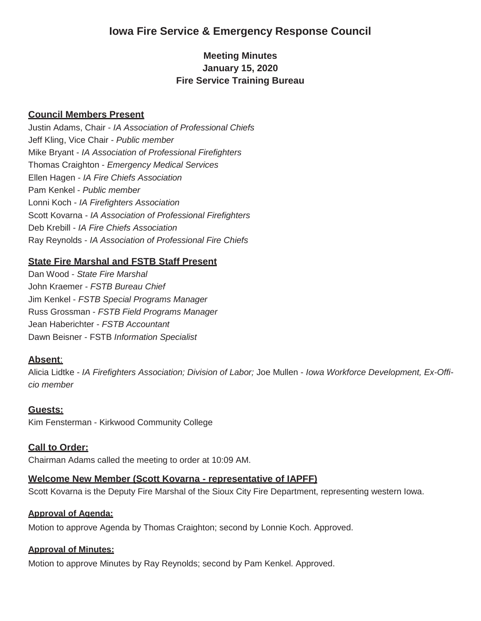# **Iowa Fire Service & Emergency Response Council**

## **Meeting Minutes January 15, 2020 Fire Service Training Bureau**

### **Council Members Present**

Justin Adams, Chair - *IA Association of Professional Chiefs* Jeff Kling, Vice Chair - *Public member* Mike Bryant - *IA Association of Professional Firefighters* Thomas Craighton - *Emergency Medical Services* Ellen Hagen - *IA Fire Chiefs Association* Pam Kenkel - *Public member* Lonni Koch - *IA Firefighters Association* Scott Kovarna - *IA Association of Professional Firefighters* Deb Krebill - *IA Fire Chiefs Association* Ray Reynolds - *IA Association of Professional Fire Chiefs*

### **State Fire Marshal and FSTB Staff Present**

Dan Wood - *State Fire Marshal* John Kraemer - *FSTB Bureau Chief* Jim Kenkel - *FSTB Special Programs Manager*  Russ Grossman - *FSTB Field Programs Manager*  Jean Haberichter - *FSTB Accountant* Dawn Beisner - FSTB *Information Specialist*

#### **Absent**:

Alicia Lidtke - *IA Firefighters Association; Division of Labor;* Joe Mullen - *Iowa Workforce Development, Ex-Officio member*

#### **Guests:**

Kim Fensterman - Kirkwood Community College

#### **Call to Order:**

Chairman Adams called the meeting to order at 10:09 AM.

#### **Welcome New Member (Scott Kovarna - representative of IAPFF)**

Scott Kovarna is the Deputy Fire Marshal of the Sioux City Fire Department, representing western Iowa.

#### **Approval of Agenda:**

Motion to approve Agenda by Thomas Craighton; second by Lonnie Koch. Approved.

#### **Approval of Minutes:**

Motion to approve Minutes by Ray Reynolds; second by Pam Kenkel. Approved.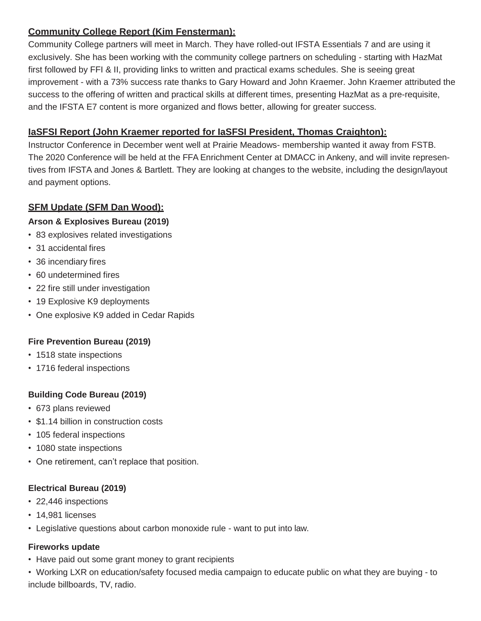## **Community College Report (Kim Fensterman):**

Community College partners will meet in March. They have rolled-out IFSTA Essentials 7 and are using it exclusively. She has been working with the community college partners on scheduling - starting with HazMat first followed by FFI & II, providing links to written and practical exams schedules. She is seeing great improvement - with a 73% success rate thanks to Gary Howard and John Kraemer. John Kraemer attributed the success to the offering of written and practical skills at different times, presenting HazMat as a pre-requisite, and the IFSTA E7 content is more organized and flows better, allowing for greater success.

## **IaSFSI Report (John Kraemer reported for IaSFSI President, Thomas Craighton):**

Instructor Conference in December went well at Prairie Meadows- membership wanted it away from FSTB. The 2020 Conference will be held at the FFA Enrichment Center at DMACC in Ankeny, and will invite representives from IFSTA and Jones & Bartlett. They are looking at changes to the website, including the design/layout and payment options.

## **SFM Update (SFM Dan Wood):**

## **Arson & Explosives Bureau (2019)**

- 83 explosives related investigations
- 31 accidental fires
- 36 incendiary fires
- 60 undetermined fires
- 22 fire still under investigation
- 19 Explosive K9 deployments
- One explosive K9 added in Cedar Rapids

## **Fire Prevention Bureau (2019)**

- 1518 state inspections
- 1716 federal inspections

## **Building Code Bureau (2019)**

- 673 plans reviewed
- \$1.14 billion in construction costs
- 105 federal inspections
- 1080 state inspections
- One retirement, can't replace that position.

## **Electrical Bureau (2019)**

- 22,446 inspections
- 14,981 licenses
- Legislative questions about carbon monoxide rule want to put into law.

## **Fireworks update**

- Have paid out some grant money to grant recipients
- Working LXR on education/safety focused media campaign to educate public on what they are buying to include billboards, TV, radio.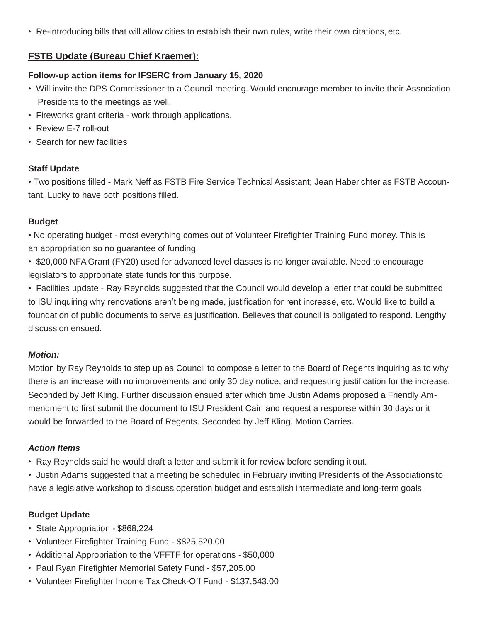• Re-introducing bills that will allow cities to establish their own rules, write their own citations, etc.

## **FSTB Update (Bureau Chief Kraemer):**

### **Follow-up action items for IFSERC from January 15, 2020**

- Will invite the DPS Commissioner to a Council meeting. Would encourage member to invite their Association Presidents to the meetings as well.
- Fireworks grant criteria work through applications.
- Review E-7 roll-out
- Search for new facilities

### **Staff Update**

• Two positions filled - Mark Neff as FSTB Fire Service Technical Assistant; Jean Haberichter as FSTB Accountant. Lucky to have both positions filled.

### **Budget**

• No operating budget - most everything comes out of Volunteer Firefighter Training Fund money. This is an appropriation so no guarantee of funding.

• \$20,000 NFA Grant (FY20) used for advanced level classes is no longer available. Need to encourage legislators to appropriate state funds for this purpose.

• Facilities update - Ray Reynolds suggested that the Council would develop a letter that could be submitted to ISU inquiring why renovations aren't being made, justification for rent increase, etc. Would like to build a foundation of public documents to serve as justification. Believes that council is obligated to respond. Lengthy discussion ensued.

## *Motion:*

Motion by Ray Reynolds to step up as Council to compose a letter to the Board of Regents inquiring as to why there is an increase with no improvements and only 30 day notice, and requesting justification for the increase. Seconded by Jeff Kling. Further discussion ensued after which time Justin Adams proposed a Friendly Ammendment to first submit the document to ISU President Cain and request a response within 30 days or it would be forwarded to the Board of Regents. Seconded by Jeff Kling. Motion Carries.

#### *Action Items*

- Ray Reynolds said he would draft a letter and submit it for review before sending it out.
- Justin Adams suggested that a meeting be scheduled in February inviting Presidents of the Associationsto have a legislative workshop to discuss operation budget and establish intermediate and long-term goals.

## **Budget Update**

- State Appropriation \$868,224
- Volunteer Firefighter Training Fund \$825,520.00
- Additional Appropriation to the VFFTF for operations \$50,000
- Paul Ryan Firefighter Memorial Safety Fund \$57,205.00
- Volunteer Firefighter Income Tax Check-Off Fund \$137,543.00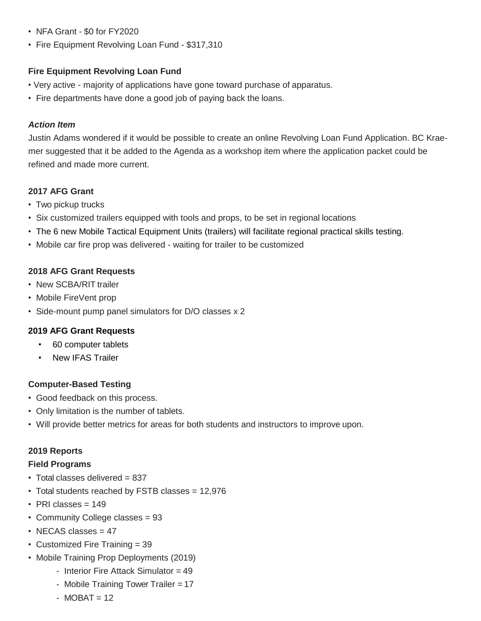- NFA Grant \$0 for FY2020
- Fire Equipment Revolving Loan Fund \$317,310

### **Fire Equipment Revolving Loan Fund**

- Very active majority of applications have gone toward purchase of apparatus.
- Fire departments have done a good job of paying back the loans.

### *Action Item*

Justin Adams wondered if it would be possible to create an online Revolving Loan Fund Application. BC Kraemer suggested that it be added to the Agenda as a workshop item where the application packet could be refined and made more current.

### **2017 AFG Grant**

- Two pickup trucks
- Six customized trailers equipped with tools and props, to be set in regional locations
- The 6 new Mobile Tactical Equipment Units (trailers) will facilitate regional practical skills testing.
- Mobile car fire prop was delivered waiting for trailer to be customized

### **2018 AFG Grant Requests**

- New SCBA/RIT trailer
- Mobile FireVent prop
- Side-mount pump panel simulators for D/O classes x 2

#### **2019 AFG Grant Requests**

- 60 computer tablets
- **New IFAS Trailer**

## **Computer-Based Testing**

- Good feedback on this process.
- Only limitation is the number of tablets.
- Will provide better metrics for areas for both students and instructors to improve upon.

#### **2019 Reports**

#### **Field Programs**

- Total classes delivered = 837
- Total students reached by FSTB classes = 12,976
- PRI classes = 149
- Community College classes = 93
- NECAS classes = 47
- Customized Fire Training = 39
- Mobile Training Prop Deployments (2019)
	- Interior Fire Attack Simulator = 49
	- Mobile Training Tower Trailer = 17
	- $-MOBAT = 12$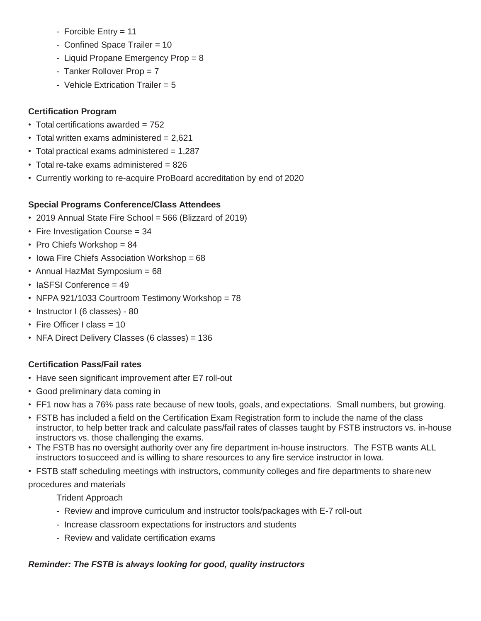- Forcible Entry = 11
- Confined Space Trailer = 10
- Liquid Propane Emergency Prop = 8
- Tanker Rollover Prop = 7
- Vehicle Extrication Trailer =  $5$

## **Certification Program**

- Total certifications awarded = 752
- Total written exams administered  $= 2,621$
- Total practical exams administered = 1,287
- Total re-take exams administered = 826
- Currently working to re-acquire ProBoard accreditation by end of 2020

## **Special Programs Conference/Class Attendees**

- 2019 Annual State Fire School = 566 (Blizzard of 2019)
- Fire Investigation Course = 34
- Pro Chiefs Workshop = 84
- Iowa Fire Chiefs Association Workshop = 68
- Annual HazMat Symposium = 68
- IaSFSI Conference = 49
- NFPA 921/1033 Courtroom Testimony Workshop = 78
- Instructor I (6 classes) 80
- Fire Officer I class = 10
- NFA Direct Delivery Classes (6 classes) = 136

## **Certification Pass/Fail rates**

- Have seen significant improvement after E7 roll-out
- Good preliminary data coming in
- FF1 now has a 76% pass rate because of new tools, goals, and expectations. Small numbers, but growing.
- FSTB has included a field on the Certification Exam Registration form to include the name of the class instructor, to help better track and calculate pass/fail rates of classes taught by FSTB instructors vs. in-house instructors vs. those challenging the exams.
- The FSTB has no oversight authority over any fire department in-house instructors. The FSTB wants ALL instructors tosucceed and is willing to share resources to any fire service instructor in Iowa.
- FSTB staff scheduling meetings with instructors, community colleges and fire departments to sharenew

## procedures and materials

- Trident Approach
- Review and improve curriculum and instructor tools/packages with E-7 roll-out
- Increase classroom expectations for instructors and students
- Review and validate certification exams

# *Reminder: The FSTB is always looking for good, quality instructors*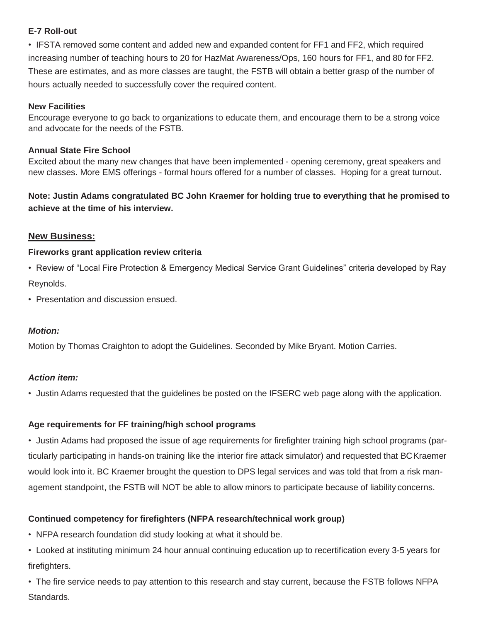### **E-7 Roll-out**

• IFSTA removed some content and added new and expanded content for FF1 and FF2, which required increasing number of teaching hours to 20 for HazMat Awareness/Ops, 160 hours for FF1, and 80 for FF2. These are estimates, and as more classes are taught, the FSTB will obtain a better grasp of the number of hours actually needed to successfully cover the required content.

#### **New Facilities**

Encourage everyone to go back to organizations to educate them, and encourage them to be a strong voice and advocate for the needs of the FSTB.

#### **Annual State Fire School**

Excited about the many new changes that have been implemented - opening ceremony, great speakers and new classes. More EMS offerings - formal hours offered for a number of classes. Hoping for a great turnout.

**Note: Justin Adams congratulated BC John Kraemer for holding true to everything that he promised to achieve at the time of his interview.**

## **New Business:**

#### **Fireworks grant application review criteria**

- Review of "Local Fire Protection & Emergency Medical Service Grant Guidelines" criteria developed by Ray Reynolds.
- Presentation and discussion ensued.

#### *Motion:*

Motion by Thomas Craighton to adopt the Guidelines. Seconded by Mike Bryant. Motion Carries.

#### *Action item:*

• Justin Adams requested that the guidelines be posted on the IFSERC web page along with the application.

#### **Age requirements for FF training/high school programs**

• Justin Adams had proposed the issue of age requirements for firefighter training high school programs (particularly participating in hands-on training like the interior fire attack simulator) and requested that BCKraemer would look into it. BC Kraemer brought the question to DPS legal services and was told that from a risk management standpoint, the FSTB will NOT be able to allow minors to participate because of liability concerns.

## **Continued competency for firefighters (NFPA research/technical work group)**

• NFPA research foundation did study looking at what it should be.

• Looked at instituting minimum 24 hour annual continuing education up to recertification every 3-5 years for firefighters.

• The fire service needs to pay attention to this research and stay current, because the FSTB follows NFPA Standards.